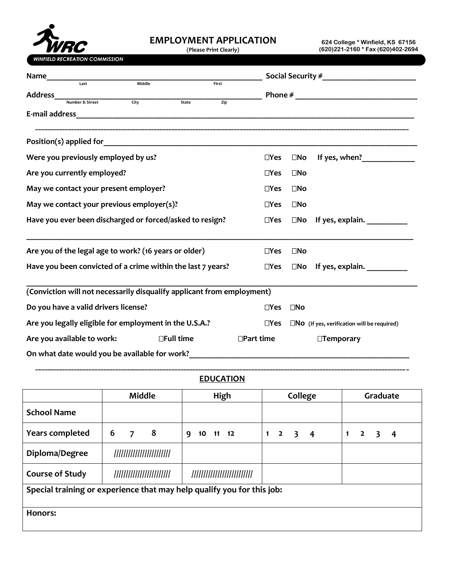

## **EMPLOYMENT APPLICATION**

**(Please Print Clearly)** 

**624 College \* Winfield, KS 67156 (620)221-2160 \* Fax (620)402-2694** 

|                                                                           |                                                      | <b>Phone</b> $#$                     |
|---------------------------------------------------------------------------|------------------------------------------------------|--------------------------------------|
|                                                                           |                                                      |                                      |
|                                                                           |                                                      |                                      |
|                                                                           |                                                      |                                      |
| $\Box$ Yes                                                                | $\square$ No                                         | If yes, when?                        |
| $\Box$ Yes                                                                | $\square$ No                                         |                                      |
| $\Box$ Yes                                                                | $\square$ No                                         |                                      |
| $\Box$ Yes                                                                | $\square$ No                                         |                                      |
| $\Box$ Yes                                                                | $\square$ No                                         | If yes, explain.                     |
| $\Box$ Yes                                                                | $\square$ No                                         |                                      |
| Have you been convicted of a crime within the last 7 years?<br>$\Box$ Yes |                                                      | $\square$ No If yes, explain. $\_\_$ |
| (Conviction will not necessarily disqualify applicant from employment)    |                                                      |                                      |
| $\Box$ Yes                                                                | $\square$ No                                         |                                      |
| $\Box$ Yes                                                                | $\square$ NO (If yes, verification will be required) |                                      |
| $\Box$ Part time                                                          |                                                      | □Temporary                           |
|                                                                           |                                                      |                                      |
|                                                                           |                                                      |                                      |

## **~~~~~~~~~~~~~~~~~~~~~~~~~~~~~~~~~~~~~~~~~~~~~~~~~~~~~~~~~~~~~~~~~~~~~~~~~~~~~~~~~~~~~~~~~~~~~~~~~~~~~~~~~~~~~~~~~~~~~~~~~~~~~~ EDUCATION**

|                                                                        | Middle                    | High                         | College                                                                     | Graduate                                 |  |  |
|------------------------------------------------------------------------|---------------------------|------------------------------|-----------------------------------------------------------------------------|------------------------------------------|--|--|
| <b>School Name</b>                                                     |                           |                              |                                                                             |                                          |  |  |
| <b>Years completed</b>                                                 | 6<br>8<br>$\overline{7}$  | 9<br>10 11 12                | $\mathbf{1}$<br>$\overline{2}$<br>$\overline{\mathbf{3}}$<br>$\overline{4}$ | $\mathbf{1}$<br>$\overline{2}$<br>3<br>4 |  |  |
| Diploma/Degree                                                         | ///////////////////////// |                              |                                                                             |                                          |  |  |
| <b>Course of Study</b>                                                 | ///////////////////////// | //////////////////////////// |                                                                             |                                          |  |  |
| Special training or experience that may help qualify you for this job: |                           |                              |                                                                             |                                          |  |  |
| Honors:                                                                |                           |                              |                                                                             |                                          |  |  |